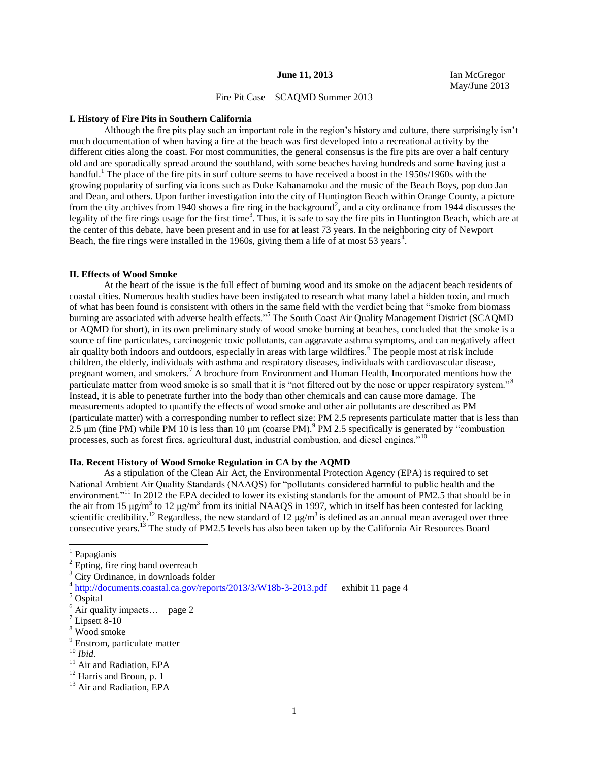### **June 11, 2013** Ian McGregor

May/June 2013

# Fire Pit Case – SCAQMD Summer 2013

#### **I. History of Fire Pits in Southern California**

Although the fire pits play such an important role in the region's history and culture, there surprisingly isn't much documentation of when having a fire at the beach was first developed into a recreational activity by the different cities along the coast. For most communities, the general consensus is the fire pits are over a half century old and are sporadically spread around the southland, with some beaches having hundreds and some having just a handful.<sup>1</sup> The place of the fire pits in surf culture seems to have received a boost in the 1950s/1960s with the growing popularity of surfing via icons such as Duke Kahanamoku and the music of the Beach Boys, pop duo Jan and Dean, and others. Upon further investigation into the city of Huntington Beach within Orange County, a picture from the city archives from 1940 shows a fire ring in the background<sup>2</sup>, and a city ordinance from 1944 discusses the legality of the fire rings usage for the first time<sup>3</sup>. Thus, it is safe to say the fire pits in Huntington Beach, which are at the center of this debate, have been present and in use for at least 73 years. In the neighboring city of Newport Beach, the fire rings were installed in the 1960s, giving them a life of at most 53 years<sup>4</sup>.

#### **II. Effects of Wood Smoke**

At the heart of the issue is the full effect of burning wood and its smoke on the adjacent beach residents of coastal cities. Numerous health studies have been instigated to research what many label a hidden toxin, and much of what has been found is consistent with others in the same field with the verdict being that "smoke from biomass burning are associated with adverse health effects."<sup>5</sup> The South Coast Air Quality Management District (SCAQMD or AQMD for short), in its own preliminary study of wood smoke burning at beaches, concluded that the smoke is a source of fine particulates, carcinogenic toxic pollutants, can aggravate asthma symptoms, and can negatively affect air quality both indoors and outdoors, especially in areas with large wildfires.<sup>6</sup> The people most at risk include children, the elderly, individuals with asthma and respiratory diseases, individuals with cardiovascular disease, pregnant women, and smokers.<sup>7</sup> A brochure from Environment and Human Health, Incorporated mentions how the particulate matter from wood smoke is so small that it is "not filtered out by the nose or upper respiratory system."<sup>8</sup> Instead, it is able to penetrate further into the body than other chemicals and can cause more damage. The measurements adopted to quantify the effects of wood smoke and other air pollutants are described as PM (particulate matter) with a corresponding number to reflect size: PM 2.5 represents particulate matter that is less than 2.5 μm (fine PM) while PM 10 is less than 10 μm (coarse PM).<sup>9</sup> PM 2.5 specifically is generated by "combustion" processes, such as forest fires, agricultural dust, industrial combustion, and diesel engines."<sup>10</sup>

## **IIa. Recent History of Wood Smoke Regulation in CA by the AQMD**

As a stipulation of the Clean Air Act, the Environmental Protection Agency (EPA) is required to set National Ambient Air Quality Standards (NAAQS) for "pollutants considered harmful to public health and the environment."<sup>11</sup> In 2012 the EPA decided to lower its existing standards for the amount of PM2.5 that should be in the air from 15  $\mu$ g/m<sup>3</sup> to 12  $\mu$ g/m<sup>3</sup> from its initial NAAQS in 1997, which in itself has been contested for lacking scientific credibility.<sup>12</sup> Regardless, the new standard of  $12 \mu g/m^3$  is defined as an annual mean averaged over three consecutive years.<sup>13</sup> The study of PM2.5 levels has also been taken up by the California Air Resources Board

<sup>1</sup> Papagianis

l

 $2$  Epting, fire ring band overreach

<sup>&</sup>lt;sup>3</sup> City Ordinance, in downloads folder

<sup>&</sup>lt;sup>4</sup> <http://documents.coastal.ca.gov/reports/2013/3/W18b-3-2013.pdf>exhibit 11 page 4

<sup>&</sup>lt;sup>5</sup> Ospital

<sup>&</sup>lt;sup>6</sup> Air quality impacts... page 2

 $^7$  Lipsett 8-10

<sup>8</sup> Wood smoke

<sup>9</sup> Enstrom, particulate matter

<sup>10</sup> *Ibid*.

<sup>&</sup>lt;sup>11</sup> Air and Radiation, EPA

<sup>&</sup>lt;sup>12</sup> Harris and Broun, p. 1

<sup>&</sup>lt;sup>13</sup> Air and Radiation, EPA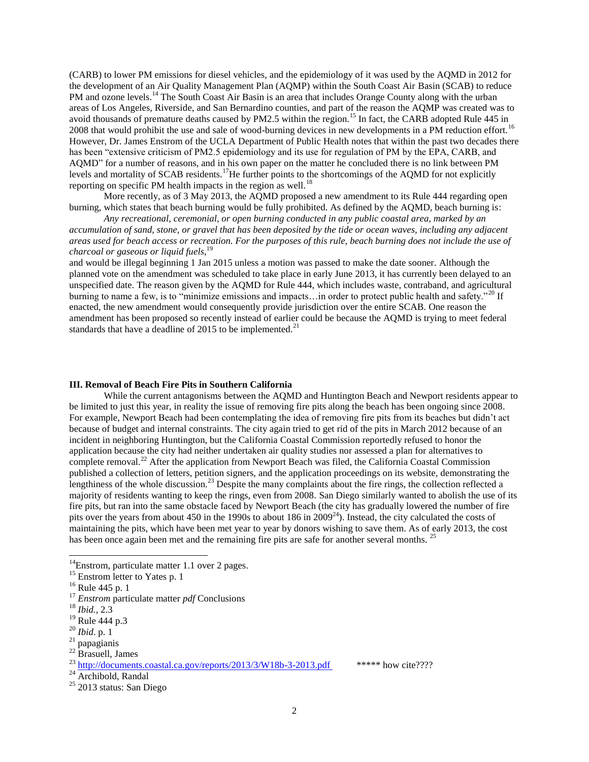(CARB) to lower PM emissions for diesel vehicles, and the epidemiology of it was used by the AQMD in 2012 for the development of an Air Quality Management Plan (AQMP) within the South Coast Air Basin (SCAB) to reduce PM and ozone levels.<sup>14</sup> The South Coast Air Basin is an area that includes Orange County along with the urban areas of Los Angeles, Riverside, and San Bernardino counties, and part of the reason the AQMP was created was to avoid thousands of premature deaths caused by PM2.5 within the region.<sup>15</sup> In fact, the CARB adopted Rule 445 in 2008 that would prohibit the use and sale of wood-burning devices in new developments in a PM reduction effort.<sup>16</sup> However, Dr. James Enstrom of the UCLA Department of Public Health notes that within the past two decades there has been "extensive criticism of PM2.5 epidemiology and its use for regulation of PM by the EPA, CARB, and AQMD" for a number of reasons, and in his own paper on the matter he concluded there is no link between PM levels and mortality of SCAB residents.<sup>17</sup>He further points to the shortcomings of the AQMD for not explicitly reporting on specific PM health impacts in the region as well.<sup>18</sup>

More recently, as of 3 May 2013, the AQMD proposed a new amendment to its Rule 444 regarding open burning, which states that beach burning would be fully prohibited. As defined by the AQMD, beach burning is:

*Any recreational, ceremonial, or open burning conducted in any public coastal area, marked by an accumulation of sand, stone, or gravel that has been deposited by the tide or ocean waves, including any adjacent areas used for beach access or recreation. For the purposes of this rule, beach burning does not include the use of charcoal or gaseous or liquid fuels*, 19

and would be illegal beginning 1 Jan 2015 unless a motion was passed to make the date sooner. Although the planned vote on the amendment was scheduled to take place in early June 2013, it has currently been delayed to an unspecified date. The reason given by the AQMD for Rule 444, which includes waste, contraband, and agricultural burning to name a few, is to "minimize emissions and impacts...in order to protect public health and safety."<sup>20</sup> If enacted, the new amendment would consequently provide jurisdiction over the entire SCAB. One reason the amendment has been proposed so recently instead of earlier could be because the AQMD is trying to meet federal standards that have a deadline of 2015 to be implemented.<sup>21</sup>

## **III. Removal of Beach Fire Pits in Southern California**

While the current antagonisms between the AQMD and Huntington Beach and Newport residents appear to be limited to just this year, in reality the issue of removing fire pits along the beach has been ongoing since 2008. For example, Newport Beach had been contemplating the idea of removing fire pits from its beaches but didn't act because of budget and internal constraints. The city again tried to get rid of the pits in March 2012 because of an incident in neighboring Huntington, but the California Coastal Commission reportedly refused to honor the application because the city had neither undertaken air quality studies nor assessed a plan for alternatives to complete removal.<sup>22</sup> After the application from Newport Beach was filed, the California Coastal Commission published a collection of letters, petition signers, and the application proceedings on its website, demonstrating the lengthiness of the whole discussion.<sup>23</sup> Despite the many complaints about the fire rings, the collection reflected a majority of residents wanting to keep the rings, even from 2008. San Diego similarly wanted to abolish the use of its fire pits, but ran into the same obstacle faced by Newport Beach (the city has gradually lowered the number of fire pits over the years from about 450 in the 1990s to about 186 in 2009<sup>24</sup>). Instead, the city calculated the costs of maintaining the pits, which have been met year to year by donors wishing to save them. As of early 2013, the cost has been once again been met and the remaining fire pits are safe for another several months.<sup>2</sup>

 $\overline{a}$ 

 $22$  Brasuell, James

 $14$ Enstrom, particulate matter 1.1 over 2 pages.

<sup>&</sup>lt;sup>15</sup> Enstrom letter to Yates p. 1

<sup>16</sup> Rule 445 p. 1

<sup>17</sup> *Enstrom* particulate matter *pdf* Conclusions

<sup>18</sup> *Ibid.,* 2.3

<sup>&</sup>lt;sup>19</sup> Rule 444 p.3

<sup>20</sup> *Ibid*. p. 1

<sup>21</sup> papagianis

 $^{23}$  <http://documents.coastal.ca.gov/reports/2013/3/W18b-3-2013.pdf> \*\*\*\*\* how cite????

 $^{24}$  Archibold, Randal

 $25$  2013 status: San Diego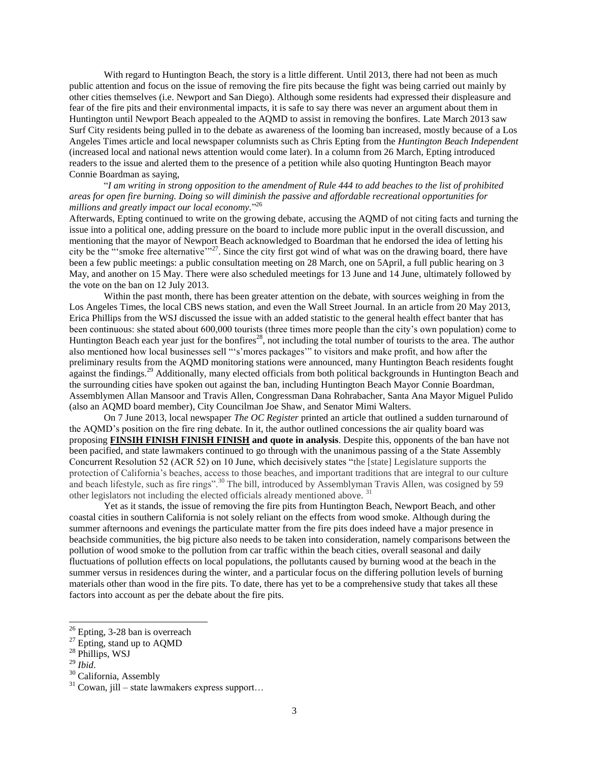With regard to Huntington Beach, the story is a little different. Until 2013, there had not been as much public attention and focus on the issue of removing the fire pits because the fight was being carried out mainly by other cities themselves (i.e. Newport and San Diego). Although some residents had expressed their displeasure and fear of the fire pits and their environmental impacts, it is safe to say there was never an argument about them in Huntington until Newport Beach appealed to the AQMD to assist in removing the bonfires. Late March 2013 saw Surf City residents being pulled in to the debate as awareness of the looming ban increased, mostly because of a Los Angeles Times article and local newspaper columnists such as Chris Epting from the *Huntington Beach Independent* (increased local and national news attention would come later). In a column from 26 March, Epting introduced readers to the issue and alerted them to the presence of a petition while also quoting Huntington Beach mayor Connie Boardman as saying,

"*I am writing in strong opposition to the amendment of Rule 444 to add beaches to the list of prohibited areas for open fire burning. Doing so will diminish the passive and affordable recreational opportunities for millions and greatly impact our local economy.*" 26

Afterwards, Epting continued to write on the growing debate, accusing the AQMD of not citing facts and turning the issue into a political one, adding pressure on the board to include more public input in the overall discussion, and mentioning that the mayor of Newport Beach acknowledged to Boardman that he endorsed the idea of letting his city be the "'smoke free alternative'"<sup>27</sup>. Since the city first got wind of what was on the drawing board, there have been a few public meetings: a public consultation meeting on 28 March, one on 5April, a full public hearing on 3 May, and another on 15 May. There were also scheduled meetings for 13 June and 14 June, ultimately followed by the vote on the ban on 12 July 2013.

Within the past month, there has been greater attention on the debate, with sources weighing in from the Los Angeles Times, the local CBS news station, and even the Wall Street Journal. In an article from 20 May 2013, Erica Phillips from the WSJ discussed the issue with an added statistic to the general health effect banter that has been continuous: she stated about 600,000 tourists (three times more people than the city's own population) come to Huntington Beach each year just for the bonfires<sup>28</sup>, not including the total number of tourists to the area. The author also mentioned how local businesses sell "'s'mores packages'" to visitors and make profit, and how after the preliminary results from the AQMD monitoring stations were announced, many Huntington Beach residents fought against the findings.<sup>29</sup> Additionally, many elected officials from both political backgrounds in Huntington Beach and the surrounding cities have spoken out against the ban, including Huntington Beach Mayor Connie Boardman, Assemblymen Allan Mansoor and Travis Allen, Congressman Dana Rohrabacher, Santa Ana Mayor Miguel Pulido (also an AQMD board member), City Councilman Joe Shaw, and Senator Mimi Walters.

On 7 June 2013, local newspaper *The OC Register* printed an article that outlined a sudden turnaround of the AQMD's position on the fire ring debate. In it, the author outlined concessions the air quality board was proposing **FINSIH FINISH FINISH FINISH and quote in analysis**. Despite this, opponents of the ban have not been pacified, and state lawmakers continued to go through with the unanimous passing of a the State Assembly Concurrent Resolution 52 (ACR 52) on 10 June, which decisively states "the [state] Legislature supports the protection of California's beaches, access to those beaches, and important traditions that are integral to our culture and beach lifestyle, such as fire rings".<sup>30</sup> The bill, introduced by Assemblyman Travis Allen, was cosigned by 59 other legislators not including the elected officials already mentioned above.<sup>31</sup>

Yet as it stands, the issue of removing the fire pits from Huntington Beach, Newport Beach, and other coastal cities in southern California is not solely reliant on the effects from wood smoke. Although during the summer afternoons and evenings the particulate matter from the fire pits does indeed have a major presence in beachside communities, the big picture also needs to be taken into consideration, namely comparisons between the pollution of wood smoke to the pollution from car traffic within the beach cities, overall seasonal and daily fluctuations of pollution effects on local populations, the pollutants caused by burning wood at the beach in the summer versus in residences during the winter, and a particular focus on the differing pollution levels of burning materials other than wood in the fire pits. To date, there has yet to be a comprehensive study that takes all these factors into account as per the debate about the fire pits.

 $26$  Epting, 3-28 ban is overreach

 $27$  Epting, stand up to AQMD

<sup>28</sup> Phillips, WSJ

<sup>29</sup> *Ibid*.

<sup>&</sup>lt;sup>30</sup> California, Assembly

 $31$  Cowan, jill – state lawmakers express support...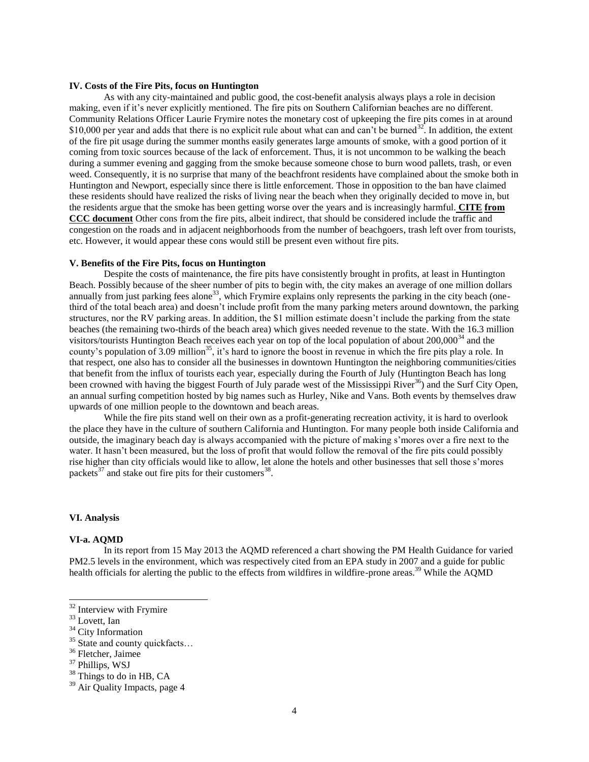## **IV. Costs of the Fire Pits, focus on Huntington**

As with any city-maintained and public good, the cost-benefit analysis always plays a role in decision making, even if it's never explicitly mentioned. The fire pits on Southern Californian beaches are no different. Community Relations Officer Laurie Frymire notes the monetary cost of upkeeping the fire pits comes in at around \$10,000 per year and adds that there is no explicit rule about what can and can't be burned  $32$ . In addition, the extent of the fire pit usage during the summer months easily generates large amounts of smoke, with a good portion of it coming from toxic sources because of the lack of enforcement. Thus, it is not uncommon to be walking the beach during a summer evening and gagging from the smoke because someone chose to burn wood pallets, trash, or even weed. Consequently, it is no surprise that many of the beachfront residents have complained about the smoke both in Huntington and Newport, especially since there is little enforcement. Those in opposition to the ban have claimed these residents should have realized the risks of living near the beach when they originally decided to move in, but the residents argue that the smoke has been getting worse over the years and is increasingly harmful. **CITE from CCC document** Other cons from the fire pits, albeit indirect, that should be considered include the traffic and congestion on the roads and in adjacent neighborhoods from the number of beachgoers, trash left over from tourists, etc. However, it would appear these cons would still be present even without fire pits.

#### **V. Benefits of the Fire Pits, focus on Huntington**

Despite the costs of maintenance, the fire pits have consistently brought in profits, at least in Huntington Beach. Possibly because of the sheer number of pits to begin with, the city makes an average of one million dollars annually from just parking fees alone<sup>33</sup>, which Frymire explains only represents the parking in the city beach (onethird of the total beach area) and doesn't include profit from the many parking meters around downtown, the parking structures, nor the RV parking areas. In addition, the \$1 million estimate doesn't include the parking from the state beaches (the remaining two-thirds of the beach area) which gives needed revenue to the state. With the 16.3 million visitors/tourists Huntington Beach receives each year on top of the local population of about 200,000<sup>34</sup> and the county's population of  $3.09$  million<sup>35</sup>, it's hard to ignore the boost in revenue in which the fire pits play a role. In that respect, one also has to consider all the businesses in downtown Huntington the neighboring communities/cities that benefit from the influx of tourists each year, especially during the Fourth of July (Huntington Beach has long been crowned with having the biggest Fourth of July parade west of the Mississippi River<sup>36</sup>) and the Surf City Open, an annual surfing competition hosted by big names such as Hurley, Nike and Vans. Both events by themselves draw upwards of one million people to the downtown and beach areas.

While the fire pits stand well on their own as a profit-generating recreation activity, it is hard to overlook the place they have in the culture of southern California and Huntington. For many people both inside California and outside, the imaginary beach day is always accompanied with the picture of making s'mores over a fire next to the water. It hasn't been measured, but the loss of profit that would follow the removal of the fire pits could possibly rise higher than city officials would like to allow, let alone the hotels and other businesses that sell those s'mores packets<sup>37</sup> and stake out fire pits for their customers<sup>38</sup>.

## **VI. Analysis**

## **VI-a. AQMD**

In its report from 15 May 2013 the AQMD referenced a chart showing the PM Health Guidance for varied PM2.5 levels in the environment, which was respectively cited from an EPA study in 2007 and a guide for public health officials for alerting the public to the effects from wildfires in wildfire-prone areas.<sup>39</sup> While the AOMD

<sup>&</sup>lt;sup>32</sup> Interview with Frymire

<sup>33</sup> Lovett, Ian

<sup>&</sup>lt;sup>34</sup> City Information

 $35$  State and county quickfacts...<br> $36$  Fletcher, Jaimee

<sup>&</sup>lt;sup>37</sup> Phillips, WSJ

<sup>&</sup>lt;sup>38</sup> Things to do in HB, CA

<sup>&</sup>lt;sup>39</sup> Air Quality Impacts, page 4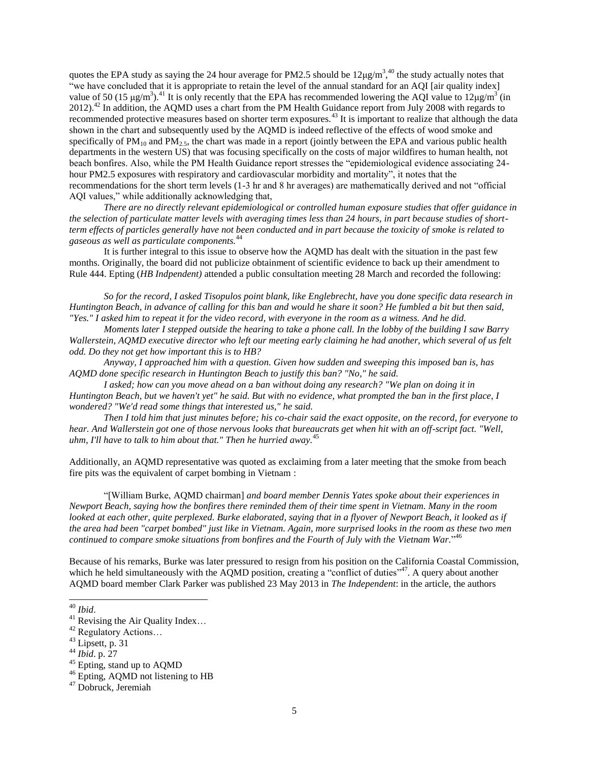quotes the EPA study as saying the 24 hour average for PM2.5 should be  $12\mu g/m^3$ ,<sup>40</sup> the study actually notes that "we have concluded that it is appropriate to retain the level of the annual standard for an AQI [air quality index] value of 50 (15  $\mu$ g/m<sup>3</sup>).<sup>41</sup> It is only recently that the EPA has recommended lowering the AQI value to 12 $\mu$ g/m<sup>3</sup> (in 2012).<sup>42</sup> In addition, the AQMD uses a chart from the PM Health Guidance report from July 2008 with regards to recommended protective measures based on shorter term exposures.<sup>43</sup> It is important to realize that although the data shown in the chart and subsequently used by the AQMD is indeed reflective of the effects of wood smoke and specifically of  $PM_{10}$  and  $PM_{2.5}$ , the chart was made in a report (jointly between the EPA and various public health departments in the western US) that was focusing specifically on the costs of major wildfires to human health, not beach bonfires. Also, while the PM Health Guidance report stresses the "epidemiological evidence associating 24 hour PM2.5 exposures with respiratory and cardiovascular morbidity and mortality", it notes that the recommendations for the short term levels (1-3 hr and 8 hr averages) are mathematically derived and not "official AQI values," while additionally acknowledging that,

*There are no directly relevant epidemiological or controlled human exposure studies that offer guidance in the selection of particulate matter levels with averaging times less than 24 hours, in part because studies of shortterm effects of particles generally have not been conducted and in part because the toxicity of smoke is related to gaseous as well as particulate components.*<sup>44</sup>

It is further integral to this issue to observe how the AQMD has dealt with the situation in the past few months. Originally, the board did not publicize obtainment of scientific evidence to back up their amendment to Rule 444. Epting (*HB Indpendent)* attended a public consultation meeting 28 March and recorded the following:

*So for the record, I asked Tisopulos point blank, like Englebrecht, have you done specific data research in Huntington Beach, in advance of calling for this ban and would he share it soon? He fumbled a bit but then said, "Yes." I asked him to repeat it for the video record, with everyone in the room as a witness. And he did.*

*Moments later I stepped outside the hearing to take a phone call. In the lobby of the building I saw Barry Wallerstein, AQMD executive director who left our meeting early claiming he had another, which several of us felt odd. Do they not get how important this is to HB?*

*Anyway, I approached him with a question. Given how sudden and sweeping this imposed ban is, has AQMD done specific research in Huntington Beach to justify this ban? "No," he said.*

*I asked; how can you move ahead on a ban without doing any research? "We plan on doing it in Huntington Beach, but we haven't yet" he said. But with no evidence, what prompted the ban in the first place, I wondered? "We'd read some things that interested us," he said.*

*Then I told him that just minutes before; his co-chair said the exact opposite, on the record, for everyone to hear. And Wallerstein got one of those nervous looks that bureaucrats get when hit with an off-script fact. "Well, uhm, I'll have to talk to him about that." Then he hurried away.*<sup>45</sup>

Additionally, an AQMD representative was quoted as exclaiming from a later meeting that the smoke from beach fire pits was the equivalent of carpet bombing in Vietnam :

"[William Burke, AQMD chairman] *and board member Dennis Yates spoke about their experiences in Newport Beach, saying how the bonfires there reminded them of their time spent in Vietnam. Many in the room looked at each other, quite perplexed. Burke elaborated, saying that in a flyover of Newport Beach, it looked as if the area had been "carpet bombed" just like in Vietnam. Again, more surprised looks in the room as these two men continued to compare smoke situations from bonfires and the Fourth of July with the Vietnam War.*" 46

Because of his remarks, Burke was later pressured to resign from his position on the California Coastal Commission, which he held simultaneously with the AQMD position, creating a "conflict of duties"<sup>47</sup>. A query about another AQMD board member Clark Parker was published 23 May 2013 in *The Independent*: in the article, the authors

<sup>40</sup> *Ibid*.

<sup>&</sup>lt;sup>41</sup> Revising the Air Quality Index...<br><sup>42</sup> Regulatory Actions...<br><sup>43</sup> Lipsett, p. 31

<sup>44</sup> *Ibid*. p. 27

<sup>45</sup> Epting, stand up to AQMD

<sup>&</sup>lt;sup>46</sup> Epting, AQMD not listening to HB

<sup>47</sup> Dobruck, Jeremiah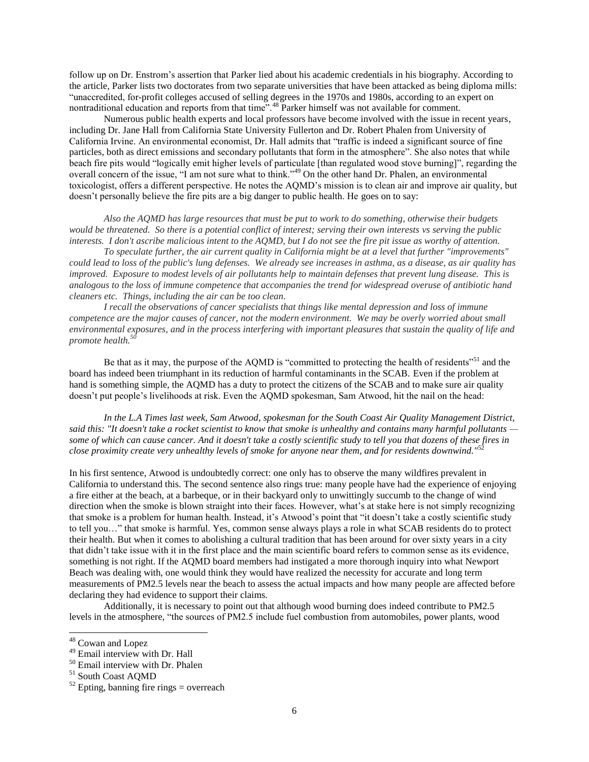follow up on Dr. Enstrom's assertion that Parker lied about his academic credentials in his biography. According to the article, Parker lists two doctorates from two separate universities that have been attacked as being diploma mills: "unaccredited, for-profit colleges accused of selling degrees in the 1970s and 1980s, according to an expert on nontraditional education and reports from that time".<sup>48</sup> Parker himself was not available for comment.

Numerous public health experts and local professors have become involved with the issue in recent years, including Dr. Jane Hall from California State University Fullerton and Dr. Robert Phalen from University of California Irvine. An environmental economist, Dr. Hall admits that "traffic is indeed a significant source of fine particles, both as direct emissions and secondary pollutants that form in the atmosphere". She also notes that while beach fire pits would "logically emit higher levels of particulate [than regulated wood stove burning]", regarding the overall concern of the issue, "I am not sure what to think."<sup>49</sup> On the other hand Dr. Phalen, an environmental toxicologist, offers a different perspective. He notes the AQMD's mission is to clean air and improve air quality, but doesn't personally believe the fire pits are a big danger to public health. He goes on to say:

*Also the AQMD has large resources that must be put to work to do something, otherwise their budgets would be threatened. So there is a potential conflict of interest; serving their own interests vs serving the public interests. I don't ascribe malicious intent to the AQMD, but I do not see the fire pit issue as worthy of attention.*

*To speculate further, the air current quality in California might be at a level that further "improvements" could lead to loss of the public's lung defenses. We already see increases in asthma, as a disease, as air quality has improved. Exposure to modest levels of air pollutants help to maintain defenses that prevent lung disease. This is analogous to the loss of immune competence that accompanies the trend for widespread overuse of antibiotic hand cleaners etc. Things, including the air can be too clean.*

*I recall the observations of cancer specialists that things like mental depression and loss of immune competence are the major causes of cancer, not the modern environment. We may be overly worried about small environmental exposures, and in the process interfering with important pleasures that sustain the quality of life and promote health.<sup>50</sup>*

Be that as it may, the purpose of the AQMD is "committed to protecting the health of residents"<sup>51</sup> and the board has indeed been triumphant in its reduction of harmful contaminants in the SCAB. Even if the problem at hand is something simple, the AQMD has a duty to protect the citizens of the SCAB and to make sure air quality doesn't put people's livelihoods at risk. Even the AQMD spokesman, Sam Atwood, hit the nail on the head:

*In the L.A Times last week, Sam Atwood, spokesman for the South Coast Air Quality Management District, said this: "It doesn't take a rocket scientist to know that smoke is unhealthy and contains many harmful pollutants some of which can cause cancer. And it doesn't take a costly scientific study to tell you that dozens of these fires in close proximity create very unhealthy levels of smoke for anyone near them, and for residents downwind."*<sup>52</sup>

In his first sentence, Atwood is undoubtedly correct: one only has to observe the many wildfires prevalent in California to understand this. The second sentence also rings true: many people have had the experience of enjoying a fire either at the beach, at a barbeque, or in their backyard only to unwittingly succumb to the change of wind direction when the smoke is blown straight into their faces. However, what's at stake here is not simply recognizing that smoke is a problem for human health. Instead, it's Atwood's point that "it doesn't take a costly scientific study to tell you…" that smoke is harmful. Yes, common sense always plays a role in what SCAB residents do to protect their health. But when it comes to abolishing a cultural tradition that has been around for over sixty years in a city that didn't take issue with it in the first place and the main scientific board refers to common sense as its evidence, something is not right. If the AQMD board members had instigated a more thorough inquiry into what Newport Beach was dealing with, one would think they would have realized the necessity for accurate and long term measurements of PM2.5 levels near the beach to assess the actual impacts and how many people are affected before declaring they had evidence to support their claims.

Additionally, it is necessary to point out that although wood burning does indeed contribute to PM2.5 levels in the atmosphere, "the sources of PM2.5 include fuel combustion from automobiles, power plants, wood

 $\overline{\phantom{a}}$ 

<sup>&</sup>lt;sup>48</sup> Cowan and Lopez

<sup>49</sup> Email interview with Dr. Hall

<sup>50</sup> Email interview with Dr. Phalen

<sup>51</sup> South Coast AQMD

 $52$  Epting, banning fire rings = overreach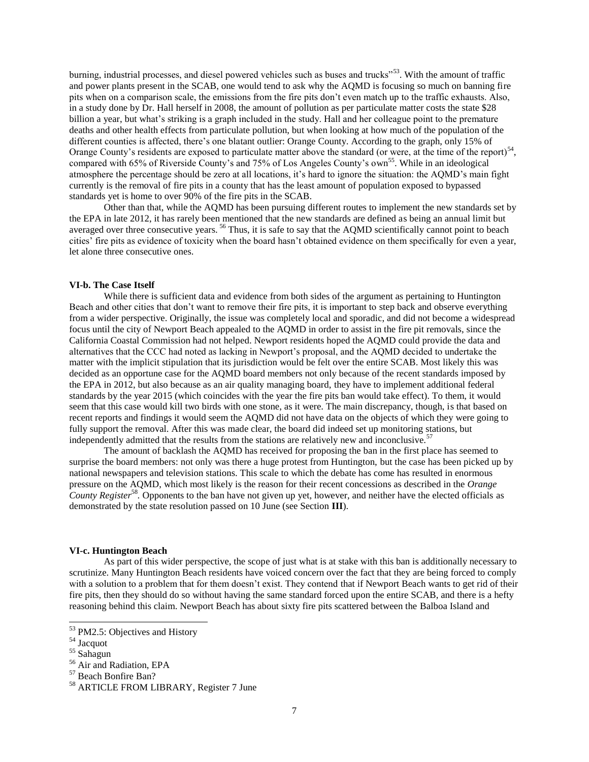burning, industrial processes, and diesel powered vehicles such as buses and trucks"<sup>53</sup>. With the amount of traffic and power plants present in the SCAB, one would tend to ask why the AQMD is focusing so much on banning fire pits when on a comparison scale, the emissions from the fire pits don't even match up to the traffic exhausts. Also, in a study done by Dr. Hall herself in 2008, the amount of pollution as per particulate matter costs the state \$28 billion a year, but what's striking is a graph included in the study. Hall and her colleague point to the premature deaths and other health effects from particulate pollution, but when looking at how much of the population of the different counties is affected, there's one blatant outlier: Orange County. According to the graph, only 15% of Orange County's residents are exposed to particulate matter above the standard (or were, at the time of the report) $54$ , compared with 65% of Riverside County's and 75% of Los Angeles County's own<sup>55</sup>. While in an ideological atmosphere the percentage should be zero at all locations, it's hard to ignore the situation: the AQMD's main fight currently is the removal of fire pits in a county that has the least amount of population exposed to bypassed standards yet is home to over 90% of the fire pits in the SCAB.

Other than that, while the AQMD has been pursuing different routes to implement the new standards set by the EPA in late 2012, it has rarely been mentioned that the new standards are defined as being an annual limit but averaged over three consecutive years. <sup>56</sup> Thus, it is safe to say that the AQMD scientifically cannot point to beach cities' fire pits as evidence of toxicity when the board hasn't obtained evidence on them specifically for even a year, let alone three consecutive ones.

## **VI-b. The Case Itself**

While there is sufficient data and evidence from both sides of the argument as pertaining to Huntington Beach and other cities that don't want to remove their fire pits, it is important to step back and observe everything from a wider perspective. Originally, the issue was completely local and sporadic, and did not become a widespread focus until the city of Newport Beach appealed to the AQMD in order to assist in the fire pit removals, since the California Coastal Commission had not helped. Newport residents hoped the AQMD could provide the data and alternatives that the CCC had noted as lacking in Newport's proposal, and the AQMD decided to undertake the matter with the implicit stipulation that its jurisdiction would be felt over the entire SCAB. Most likely this was decided as an opportune case for the AQMD board members not only because of the recent standards imposed by the EPA in 2012, but also because as an air quality managing board, they have to implement additional federal standards by the year 2015 (which coincides with the year the fire pits ban would take effect). To them, it would seem that this case would kill two birds with one stone, as it were. The main discrepancy, though, is that based on recent reports and findings it would seem the AQMD did not have data on the objects of which they were going to fully support the removal. After this was made clear, the board did indeed set up monitoring stations, but independently admitted that the results from the stations are relatively new and inconclusive.<sup>5</sup>

The amount of backlash the AQMD has received for proposing the ban in the first place has seemed to surprise the board members: not only was there a huge protest from Huntington, but the case has been picked up by national newspapers and television stations. This scale to which the debate has come has resulted in enormous pressure on the AQMD, which most likely is the reason for their recent concessions as described in the *Orange County Register*<sup>58</sup> *.* Opponents to the ban have not given up yet, however, and neither have the elected officials as demonstrated by the state resolution passed on 10 June (see Section **III**).

### **VI-c. Huntington Beach**

As part of this wider perspective, the scope of just what is at stake with this ban is additionally necessary to scrutinize. Many Huntington Beach residents have voiced concern over the fact that they are being forced to comply with a solution to a problem that for them doesn't exist. They contend that if Newport Beach wants to get rid of their fire pits, then they should do so without having the same standard forced upon the entire SCAB, and there is a hefty reasoning behind this claim. Newport Beach has about sixty fire pits scattered between the Balboa Island and

<sup>&</sup>lt;sup>53</sup> PM2.5: Objectives and History

<sup>54</sup> Jacquot

<sup>55</sup> Sahagun

<sup>56</sup> Air and Radiation, EPA

<sup>57</sup> Beach Bonfire Ban?

<sup>58</sup> ARTICLE FROM LIBRARY, Register 7 June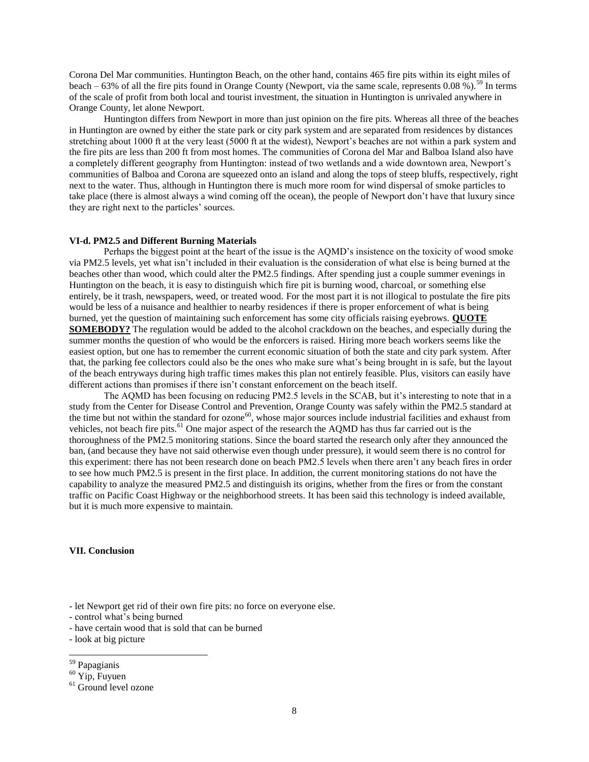Corona Del Mar communities. Huntington Beach, on the other hand, contains 465 fire pits within its eight miles of beach – 63% of all the fire pits found in Orange County (Newport, via the same scale, represents 0.08 %).<sup>59</sup> In terms of the scale of profit from both local and tourist investment, the situation in Huntington is unrivaled anywhere in Orange County, let alone Newport.

Huntington differs from Newport in more than just opinion on the fire pits. Whereas all three of the beaches in Huntington are owned by either the state park or city park system and are separated from residences by distances stretching about 1000 ft at the very least (5000 ft at the widest), Newport's beaches are not within a park system and the fire pits are less than 200 ft from most homes. The communities of Corona del Mar and Balboa Island also have a completely different geography from Huntington: instead of two wetlands and a wide downtown area, Newport's communities of Balboa and Corona are squeezed onto an island and along the tops of steep bluffs, respectively, right next to the water. Thus, although in Huntington there is much more room for wind dispersal of smoke particles to take place (there is almost always a wind coming off the ocean), the people of Newport don't have that luxury since they are right next to the particles' sources.

#### **VI-d. PM2.5 and Different Burning Materials**

Perhaps the biggest point at the heart of the issue is the AQMD's insistence on the toxicity of wood smoke via PM2.5 levels, yet what isn't included in their evaluation is the consideration of what else is being burned at the beaches other than wood, which could alter the PM2.5 findings. After spending just a couple summer evenings in Huntington on the beach, it is easy to distinguish which fire pit is burning wood, charcoal, or something else entirely, be it trash, newspapers, weed, or treated wood. For the most part it is not illogical to postulate the fire pits would be less of a nuisance and healthier to nearby residences if there is proper enforcement of what is being burned, yet the question of maintaining such enforcement has some city officials raising eyebrows. **QUOTE SOMEBODY?** The regulation would be added to the alcohol crackdown on the beaches, and especially during the summer months the question of who would be the enforcers is raised. Hiring more beach workers seems like the easiest option, but one has to remember the current economic situation of both the state and city park system. After that, the parking fee collectors could also be the ones who make sure what's being brought in is safe, but the layout of the beach entryways during high traffic times makes this plan not entirely feasible. Plus, visitors can easily have different actions than promises if there isn't constant enforcement on the beach itself.

The AQMD has been focusing on reducing PM2.5 levels in the SCAB, but it's interesting to note that in a study from the Center for Disease Control and Prevention, Orange County was safely within the PM2.5 standard at the time but not within the standard for ozone<sup>60</sup>, whose major sources include industrial facilities and exhaust from vehicles, not beach fire pits.<sup>61</sup> One major aspect of the research the AQMD has thus far carried out is the thoroughness of the PM2.5 monitoring stations. Since the board started the research only after they announced the ban, (and because they have not said otherwise even though under pressure), it would seem there is no control for this experiment: there has not been research done on beach PM2.5 levels when there aren't any beach fires in order to see how much PM2.5 is present in the first place. In addition, the current monitoring stations do not have the capability to analyze the measured PM2.5 and distinguish its origins, whether from the fires or from the constant traffic on Pacific Coast Highway or the neighborhood streets. It has been said this technology is indeed available, but it is much more expensive to maintain.

## **VII. Conclusion**

- control what's being burned
- have certain wood that is sold that can be burned
- look at big picture

<sup>-</sup> let Newport get rid of their own fire pits: no force on everyone else.

l <sup>59</sup> Papagianis

 $60 \text{Yip}$ , Fuyuen

<sup>&</sup>lt;sup>61</sup> Ground level ozone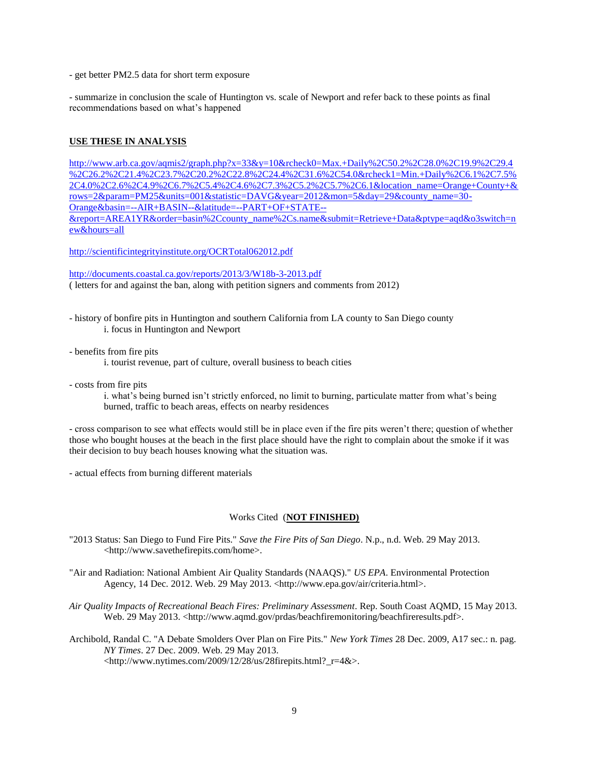- get better PM2.5 data for short term exposure

- summarize in conclusion the scale of Huntington vs. scale of Newport and refer back to these points as final recommendations based on what's happened

# **USE THESE IN ANALYSIS**

[http://www.arb.ca.gov/aqmis2/graph.php?x=33&y=10&rcheck0=Max.+Daily%2C50.2%2C28.0%2C19.9%2C29.4](http://www.arb.ca.gov/aqmis2/graph.php?x=33&y=10&rcheck0=Max.+Daily%2C50.2%2C28.0%2C19.9%2C29.4%2C26.2%2C21.4%2C23.7%2C20.2%2C22.8%2C24.4%2C31.6%2C54.0&rcheck1=Min.+Daily%2C6.1%2C7.5%2C4.0%2C2.6%2C4.9%2C6.7%2C5.4%2C4.6%2C7.3%2C5.2%2C5.7%2C6.1&location_name=Orange+County+&rows=2¶m=PM25&units=001&statistic=DAVG&year=2012&mon=5&day=29&county_name=30-Orange&basin=--AIR+BASIN--&latitude=--PART+OF+STATE--&report=AREA1YR&order=basin%2Ccounty_name%2Cs.name&submit=Retrieve+Data&ptype=aqd&o3switch=new&hours=all) [%2C26.2%2C21.4%2C23.7%2C20.2%2C22.8%2C24.4%2C31.6%2C54.0&rcheck1=Min.+Daily%2C6.1%2C7.5%](http://www.arb.ca.gov/aqmis2/graph.php?x=33&y=10&rcheck0=Max.+Daily%2C50.2%2C28.0%2C19.9%2C29.4%2C26.2%2C21.4%2C23.7%2C20.2%2C22.8%2C24.4%2C31.6%2C54.0&rcheck1=Min.+Daily%2C6.1%2C7.5%2C4.0%2C2.6%2C4.9%2C6.7%2C5.4%2C4.6%2C7.3%2C5.2%2C5.7%2C6.1&location_name=Orange+County+&rows=2¶m=PM25&units=001&statistic=DAVG&year=2012&mon=5&day=29&county_name=30-Orange&basin=--AIR+BASIN--&latitude=--PART+OF+STATE--&report=AREA1YR&order=basin%2Ccounty_name%2Cs.name&submit=Retrieve+Data&ptype=aqd&o3switch=new&hours=all) [2C4.0%2C2.6%2C4.9%2C6.7%2C5.4%2C4.6%2C7.3%2C5.2%2C5.7%2C6.1&location\\_name=Orange+County+&](http://www.arb.ca.gov/aqmis2/graph.php?x=33&y=10&rcheck0=Max.+Daily%2C50.2%2C28.0%2C19.9%2C29.4%2C26.2%2C21.4%2C23.7%2C20.2%2C22.8%2C24.4%2C31.6%2C54.0&rcheck1=Min.+Daily%2C6.1%2C7.5%2C4.0%2C2.6%2C4.9%2C6.7%2C5.4%2C4.6%2C7.3%2C5.2%2C5.7%2C6.1&location_name=Orange+County+&rows=2¶m=PM25&units=001&statistic=DAVG&year=2012&mon=5&day=29&county_name=30-Orange&basin=--AIR+BASIN--&latitude=--PART+OF+STATE--&report=AREA1YR&order=basin%2Ccounty_name%2Cs.name&submit=Retrieve+Data&ptype=aqd&o3switch=new&hours=all) [rows=2&param=PM25&units=001&statistic=DAVG&year=2012&mon=5&day=29&county\\_name=30-](http://www.arb.ca.gov/aqmis2/graph.php?x=33&y=10&rcheck0=Max.+Daily%2C50.2%2C28.0%2C19.9%2C29.4%2C26.2%2C21.4%2C23.7%2C20.2%2C22.8%2C24.4%2C31.6%2C54.0&rcheck1=Min.+Daily%2C6.1%2C7.5%2C4.0%2C2.6%2C4.9%2C6.7%2C5.4%2C4.6%2C7.3%2C5.2%2C5.7%2C6.1&location_name=Orange+County+&rows=2¶m=PM25&units=001&statistic=DAVG&year=2012&mon=5&day=29&county_name=30-Orange&basin=--AIR+BASIN--&latitude=--PART+OF+STATE--&report=AREA1YR&order=basin%2Ccounty_name%2Cs.name&submit=Retrieve+Data&ptype=aqd&o3switch=new&hours=all) [Orange&basin=--AIR+BASIN--&latitude=--PART+OF+STATE--](http://www.arb.ca.gov/aqmis2/graph.php?x=33&y=10&rcheck0=Max.+Daily%2C50.2%2C28.0%2C19.9%2C29.4%2C26.2%2C21.4%2C23.7%2C20.2%2C22.8%2C24.4%2C31.6%2C54.0&rcheck1=Min.+Daily%2C6.1%2C7.5%2C4.0%2C2.6%2C4.9%2C6.7%2C5.4%2C4.6%2C7.3%2C5.2%2C5.7%2C6.1&location_name=Orange+County+&rows=2¶m=PM25&units=001&statistic=DAVG&year=2012&mon=5&day=29&county_name=30-Orange&basin=--AIR+BASIN--&latitude=--PART+OF+STATE--&report=AREA1YR&order=basin%2Ccounty_name%2Cs.name&submit=Retrieve+Data&ptype=aqd&o3switch=new&hours=all) [&report=AREA1YR&order=basin%2Ccounty\\_name%2Cs.name&submit=Retrieve+Data&ptype=aqd&o3switch=n](http://www.arb.ca.gov/aqmis2/graph.php?x=33&y=10&rcheck0=Max.+Daily%2C50.2%2C28.0%2C19.9%2C29.4%2C26.2%2C21.4%2C23.7%2C20.2%2C22.8%2C24.4%2C31.6%2C54.0&rcheck1=Min.+Daily%2C6.1%2C7.5%2C4.0%2C2.6%2C4.9%2C6.7%2C5.4%2C4.6%2C7.3%2C5.2%2C5.7%2C6.1&location_name=Orange+County+&rows=2¶m=PM25&units=001&statistic=DAVG&year=2012&mon=5&day=29&county_name=30-Orange&basin=--AIR+BASIN--&latitude=--PART+OF+STATE--&report=AREA1YR&order=basin%2Ccounty_name%2Cs.name&submit=Retrieve+Data&ptype=aqd&o3switch=new&hours=all) [ew&hours=all](http://www.arb.ca.gov/aqmis2/graph.php?x=33&y=10&rcheck0=Max.+Daily%2C50.2%2C28.0%2C19.9%2C29.4%2C26.2%2C21.4%2C23.7%2C20.2%2C22.8%2C24.4%2C31.6%2C54.0&rcheck1=Min.+Daily%2C6.1%2C7.5%2C4.0%2C2.6%2C4.9%2C6.7%2C5.4%2C4.6%2C7.3%2C5.2%2C5.7%2C6.1&location_name=Orange+County+&rows=2¶m=PM25&units=001&statistic=DAVG&year=2012&mon=5&day=29&county_name=30-Orange&basin=--AIR+BASIN--&latitude=--PART+OF+STATE--&report=AREA1YR&order=basin%2Ccounty_name%2Cs.name&submit=Retrieve+Data&ptype=aqd&o3switch=new&hours=all)

<http://scientificintegrityinstitute.org/OCRTotal062012.pdf>

<http://documents.coastal.ca.gov/reports/2013/3/W18b-3-2013.pdf> ( letters for and against the ban, along with petition signers and comments from 2012)

- history of bonfire pits in Huntington and southern California from LA county to San Diego county i. focus in Huntington and Newport
- benefits from fire pits
	- i. tourist revenue, part of culture, overall business to beach cities
- costs from fire pits

i. what's being burned isn't strictly enforced, no limit to burning, particulate matter from what's being burned, traffic to beach areas, effects on nearby residences

- cross comparison to see what effects would still be in place even if the fire pits weren't there; question of whether those who bought houses at the beach in the first place should have the right to complain about the smoke if it was their decision to buy beach houses knowing what the situation was.

- actual effects from burning different materials

## Works Cited (**NOT FINISHED)**

"2013 Status: San Diego to Fund Fire Pits." *Save the Fire Pits of San Diego*. N.p., n.d. Web. 29 May 2013. <http://www.savethefirepits.com/home>.

"Air and Radiation: National Ambient Air Quality Standards (NAAQS)." *US EPA*. Environmental Protection Agency, 14 Dec. 2012. Web. 29 May 2013. <http://www.epa.gov/air/criteria.html>.

- *Air Quality Impacts of Recreational Beach Fires: Preliminary Assessment*. Rep. South Coast AQMD, 15 May 2013. Web. 29 May 2013. <http://www.aqmd.gov/prdas/beachfiremonitoring/beachfireresults.pdf>.
- Archibold, Randal C. "A Debate Smolders Over Plan on Fire Pits." *New York Times* 28 Dec. 2009, A17 sec.: n. pag. *NY Times*. 27 Dec. 2009. Web. 29 May 2013. <http://www.nytimes.com/2009/12/28/us/28firepits.html?\_r=4&>.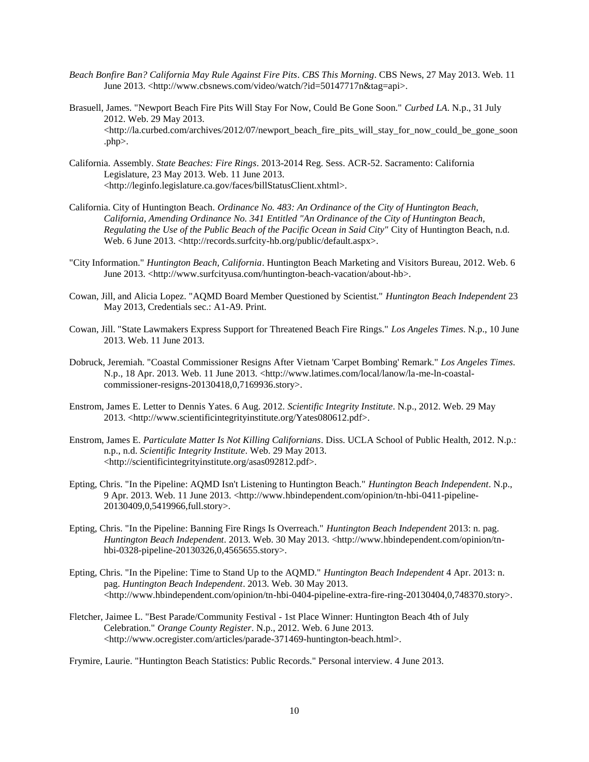- *Beach Bonfire Ban? California May Rule Against Fire Pits*. *CBS This Morning*. CBS News, 27 May 2013. Web. 11 June 2013. <http://www.cbsnews.com/video/watch/?id=50147717n&tag=api>.
- Brasuell, James. "Newport Beach Fire Pits Will Stay For Now, Could Be Gone Soon." *Curbed LA*. N.p., 31 July 2012. Web. 29 May 2013.  $\langle$ http://la.curbed.com/archives/2012/07/newport\_beach\_fire\_pits\_will\_stay\_for\_now\_could\_be\_gone\_soon .php>.
- California. Assembly. *State Beaches: Fire Rings*. 2013-2014 Reg. Sess. ACR-52. Sacramento: California Legislature, 23 May 2013. Web. 11 June 2013. <http://leginfo.legislature.ca.gov/faces/billStatusClient.xhtml>.
- California. City of Huntington Beach. *Ordinance No. 483: An Ordinance of the City of Huntington Beach, California, Amending Ordinance No. 341 Entitled "An Ordinance of the City of Huntington Beach, Regulating the Use of the Public Beach of the Pacific Ocean in Said City"* City of Huntington Beach, n.d. Web. 6 June 2013. <http://records.surfcity-hb.org/public/default.aspx>.
- "City Information." *Huntington Beach, California*. Huntington Beach Marketing and Visitors Bureau, 2012. Web. 6 June 2013. <http://www.surfcityusa.com/huntington-beach-vacation/about-hb>.
- Cowan, Jill, and Alicia Lopez. "AQMD Board Member Questioned by Scientist." *Huntington Beach Independent* 23 May 2013, Credentials sec.: A1-A9. Print.
- Cowan, Jill. "State Lawmakers Express Support for Threatened Beach Fire Rings." *Los Angeles Times*. N.p., 10 June 2013. Web. 11 June 2013.
- Dobruck, Jeremiah. "Coastal Commissioner Resigns After Vietnam 'Carpet Bombing' Remark." *Los Angeles Times*. N.p., 18 Apr. 2013. Web. 11 June 2013. <http://www.latimes.com/local/lanow/la-me-ln-coastalcommissioner-resigns-20130418,0,7169936.story>.
- Enstrom, James E. Letter to Dennis Yates. 6 Aug. 2012. *Scientific Integrity Institute*. N.p., 2012. Web. 29 May 2013. <http://www.scientificintegrityinstitute.org/Yates080612.pdf>.
- Enstrom, James E. *Particulate Matter Is Not Killing Californians*. Diss. UCLA School of Public Health, 2012. N.p.: n.p., n.d. *Scientific Integrity Institute*. Web. 29 May 2013. <http://scientificintegrityinstitute.org/asas092812.pdf>.
- Epting, Chris. "In the Pipeline: AQMD Isn't Listening to Huntington Beach." *Huntington Beach Independent*. N.p., 9 Apr. 2013. Web. 11 June 2013. <http://www.hbindependent.com/opinion/tn-hbi-0411-pipeline-20130409,0,5419966,full.story>.
- Epting, Chris. "In the Pipeline: Banning Fire Rings Is Overreach." *Huntington Beach Independent* 2013: n. pag. *Huntington Beach Independent*. 2013. Web. 30 May 2013. <http://www.hbindependent.com/opinion/tnhbi-0328-pipeline-20130326,0,4565655.story>.
- Epting, Chris. "In the Pipeline: Time to Stand Up to the AQMD." *Huntington Beach Independent* 4 Apr. 2013: n. pag. *Huntington Beach Independent*. 2013. Web. 30 May 2013.  $\langle$ http://www.hbindependent.com/opinion/tn-hbi-0404-pipeline-extra-fire-ring-20130404,0,748370.story>.
- Fletcher, Jaimee L. "Best Parade/Community Festival 1st Place Winner: Huntington Beach 4th of July Celebration." *Orange County Register*. N.p., 2012. Web. 6 June 2013. <http://www.ocregister.com/articles/parade-371469-huntington-beach.html>.

Frymire, Laurie. "Huntington Beach Statistics: Public Records." Personal interview. 4 June 2013.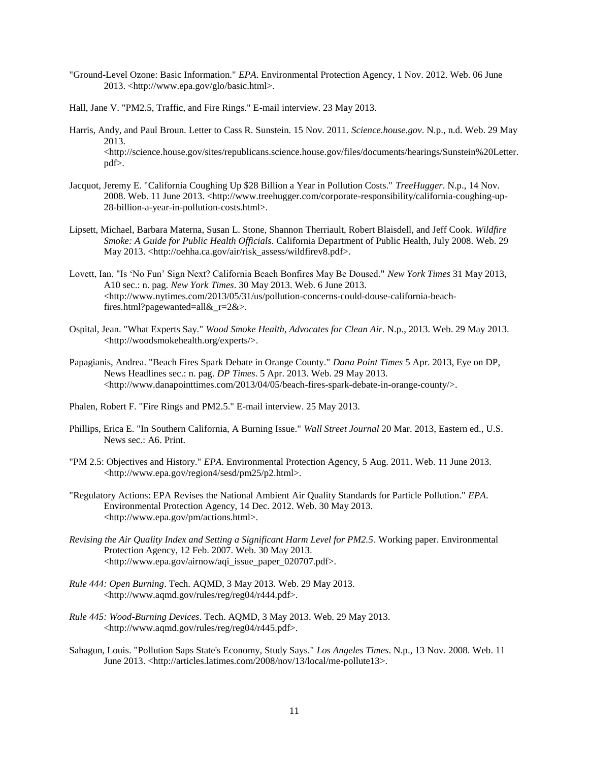- "Ground-Level Ozone: Basic Information." *EPA*. Environmental Protection Agency, 1 Nov. 2012. Web. 06 June 2013. <http://www.epa.gov/glo/basic.html>.
- Hall, Jane V. "PM2.5, Traffic, and Fire Rings." E-mail interview. 23 May 2013.
- Harris, Andy, and Paul Broun. Letter to Cass R. Sunstein. 15 Nov. 2011. *Science.house.gov*. N.p., n.d. Web. 29 May 2013.  $\langle$ http://science.house.gov/sites/republicans.science.house.gov/files/documents/hearings/Sunstein%20Letter. pdf>.
- Jacquot, Jeremy E. "California Coughing Up \$28 Billion a Year in Pollution Costs." *TreeHugger*. N.p., 14 Nov. 2008. Web. 11 June 2013. <http://www.treehugger.com/corporate-responsibility/california-coughing-up-28-billion-a-year-in-pollution-costs.html>.
- Lipsett, Michael, Barbara Materna, Susan L. Stone, Shannon Therriault, Robert Blaisdell, and Jeff Cook. *Wildfire Smoke: A Guide for Public Health Officials*. California Department of Public Health, July 2008. Web. 29 May 2013. <http://oehha.ca.gov/air/risk\_assess/wildfirev8.pdf>.
- Lovett, Ian. "Is 'No Fun' Sign Next? California Beach Bonfires May Be Doused." *New York Times* 31 May 2013, A10 sec.: n. pag. *New York Times*. 30 May 2013. Web. 6 June 2013. <http://www.nytimes.com/2013/05/31/us/pollution-concerns-could-douse-california-beachfires.html?pagewanted=all&\_r=2&>.
- Ospital, Jean. "What Experts Say." *Wood Smoke Health, Advocates for Clean Air*. N.p., 2013. Web. 29 May 2013. <http://woodsmokehealth.org/experts/>.
- Papagianis, Andrea. "Beach Fires Spark Debate in Orange County." *Dana Point Times* 5 Apr. 2013, Eye on DP, News Headlines sec.: n. pag. *DP Times*. 5 Apr. 2013. Web. 29 May 2013. <http://www.danapointtimes.com/2013/04/05/beach-fires-spark-debate-in-orange-county/>.
- Phalen, Robert F. "Fire Rings and PM2.5." E-mail interview. 25 May 2013.
- Phillips, Erica E. "In Southern California, A Burning Issue." *Wall Street Journal* 20 Mar. 2013, Eastern ed., U.S. News sec.: A6. Print.
- "PM 2.5: Objectives and History." *EPA*. Environmental Protection Agency, 5 Aug. 2011. Web. 11 June 2013. <http://www.epa.gov/region4/sesd/pm25/p2.html>.
- "Regulatory Actions: EPA Revises the National Ambient Air Quality Standards for Particle Pollution." *EPA*. Environmental Protection Agency, 14 Dec. 2012. Web. 30 May 2013. <http://www.epa.gov/pm/actions.html>.
- *Revising the Air Quality Index and Setting a Significant Harm Level for PM2.5*. Working paper. Environmental Protection Agency, 12 Feb. 2007. Web. 30 May 2013. <http://www.epa.gov/airnow/aqi\_issue\_paper\_020707.pdf>.
- *Rule 444: Open Burning*. Tech. AQMD, 3 May 2013. Web. 29 May 2013. <http://www.aqmd.gov/rules/reg/reg04/r444.pdf>.
- *Rule 445: Wood-Burning Devices*. Tech. AQMD, 3 May 2013. Web. 29 May 2013. <http://www.aqmd.gov/rules/reg/reg04/r445.pdf>.
- Sahagun, Louis. "Pollution Saps State's Economy, Study Says." *Los Angeles Times*. N.p., 13 Nov. 2008. Web. 11 June 2013. <http://articles.latimes.com/2008/nov/13/local/me-pollute13>.